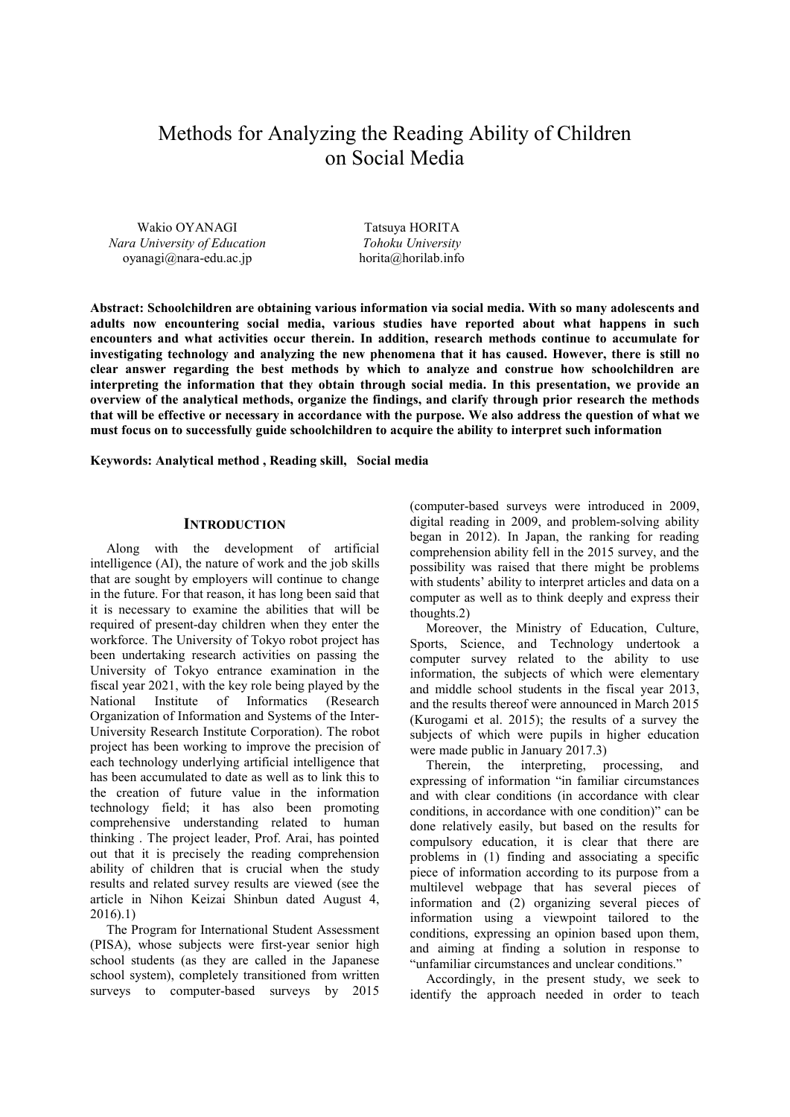# Methods for Analyzing the Reading Ability of Children on Social Media

Wakio OYANAGI *Nara University of Education*  oyanagi@nara-edu.ac.jp

Tatsuya HORITA *Tohoku University*  horita@horilab.info

**Abstract: Schoolchildren are obtaining various information via social media. With so many adolescents and adults now encountering social media, various studies have reported about what happens in such encounters and what activities occur therein. In addition, research methods continue to accumulate for investigating technology and analyzing the new phenomena that it has caused. However, there is still no clear answer regarding the best methods by which to analyze and construe how schoolchildren are interpreting the information that they obtain through social media. In this presentation, we provide an overview of the analytical methods, organize the findings, and clarify through prior research the methods that will be effective or necessary in accordance with the purpose. We also address the question of what we must focus on to successfully guide schoolchildren to acquire the ability to interpret such information** 

**Keywords: Analytical method , Reading skill, Social media**

#### **INTRODUCTION**

Along with the development of artificial intelligence (AI), the nature of work and the job skills that are sought by employers will continue to change in the future. For that reason, it has long been said that it is necessary to examine the abilities that will be required of present-day children when they enter the workforce. The University of Tokyo robot project has been undertaking research activities on passing the University of Tokyo entrance examination in the fiscal year 2021, with the key role being played by the National Institute of Informatics (Research Organization of Information and Systems of the Inter-University Research Institute Corporation). The robot project has been working to improve the precision of each technology underlying artificial intelligence that has been accumulated to date as well as to link this to the creation of future value in the information technology field; it has also been promoting comprehensive understanding related to human thinking . The project leader, Prof. Arai, has pointed out that it is precisely the reading comprehension ability of children that is crucial when the study results and related survey results are viewed (see the article in Nihon Keizai Shinbun dated August 4, 2016).1)

The Program for International Student Assessment (PISA), whose subjects were first-year senior high school students (as they are called in the Japanese school system), completely transitioned from written surveys to computer-based surveys by 2015

(computer-based surveys were introduced in 2009, digital reading in 2009, and problem-solving ability began in 2012). In Japan, the ranking for reading comprehension ability fell in the 2015 survey, and the possibility was raised that there might be problems with students' ability to interpret articles and data on a computer as well as to think deeply and express their thoughts.2)

Moreover, the Ministry of Education, Culture, Sports, Science, and Technology undertook a computer survey related to the ability to use information, the subjects of which were elementary and middle school students in the fiscal year 2013, and the results thereof were announced in March 2015 (Kurogami et al. 2015); the results of a survey the subjects of which were pupils in higher education were made public in January 2017.3)

Therein, the interpreting, processing, and expressing of information "in familiar circumstances and with clear conditions (in accordance with clear conditions, in accordance with one condition)" can be done relatively easily, but based on the results for compulsory education, it is clear that there are problems in (1) finding and associating a specific piece of information according to its purpose from a multilevel webpage that has several pieces of information and (2) organizing several pieces of information using a viewpoint tailored to the conditions, expressing an opinion based upon them, and aiming at finding a solution in response to "unfamiliar circumstances and unclear conditions."

Accordingly, in the present study, we seek to identify the approach needed in order to teach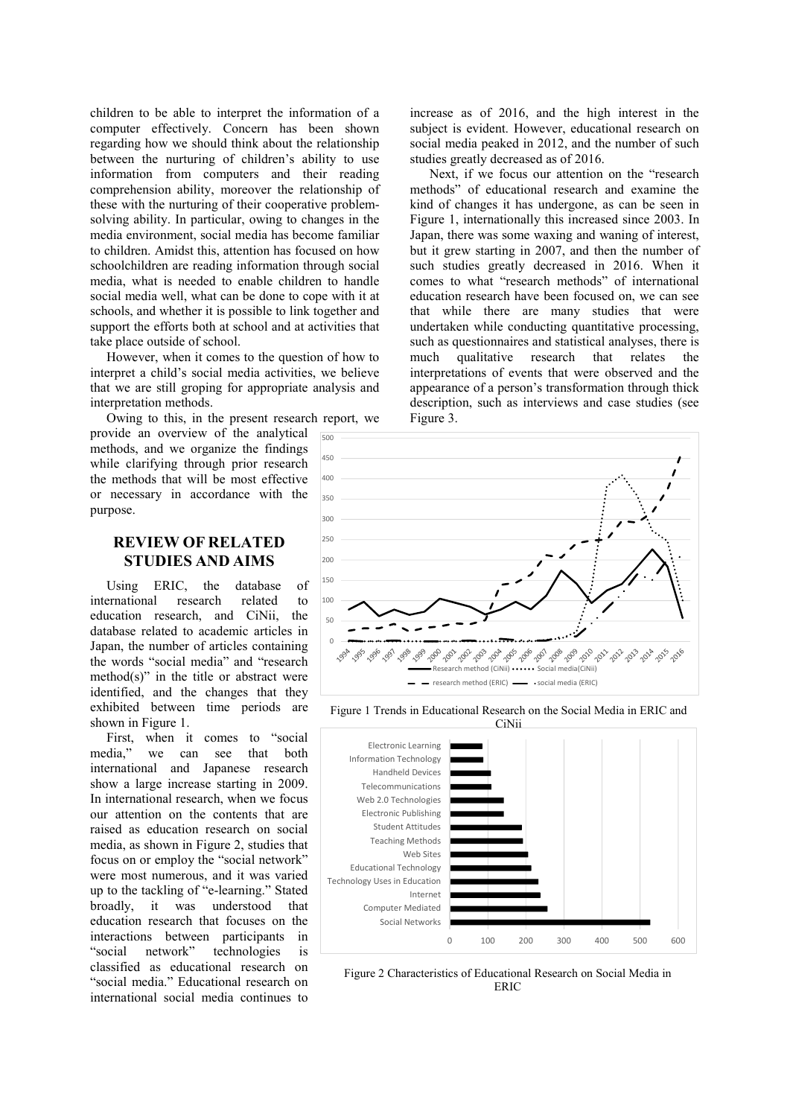children to be able to interpret the information of a computer effectively. Concern has been shown regarding how we should think about the relationship between the nurturing of children's ability to use information from computers and their reading comprehension ability, moreover the relationship of these with the nurturing of their cooperative problemsolving ability. In particular, owing to changes in the media environment, social media has become familiar to children. Amidst this, attention has focused on how schoolchildren are reading information through social media, what is needed to enable children to handle social media well, what can be done to cope with it at schools, and whether it is possible to link together and support the efforts both at school and at activities that take place outside of school.

However, when it comes to the question of how to interpret a child's social media activities, we believe that we are still groping for appropriate analysis and interpretation methods.

Owing to this, in the present research report, we provide an overview of the analytical methods, and we organize the findings while clarifying through prior research the methods that will be most effective or necessary in accordance with the purpose.

### **REVIEW OF RELATED STUDIES AND AIMS**

Using ERIC, the database of<br>ernational research related to international research related to education research, and CiNii, the database related to academic articles in Japan, the number of articles containing the words "social media" and "research method(s)" in the title or abstract were identified, and the changes that they exhibited between time periods are shown in Figure 1.

First, when it comes to "social media," we can see that both we can see that both international and Japanese research show a large increase starting in 2009. In international research, when we focus our attention on the contents that are raised as education research on social media, as shown in Figure 2, studies that focus on or employ the "social network" were most numerous, and it was varied up to the tackling of "e-learning." Stated broadly, it was understood that education research that focuses on the interactions between participants in "social network" technologies is classified as educational research on "social media." Educational research on international social media continues to

increase as of 2016, and the high interest in the subject is evident. However, educational research on social media peaked in 2012, and the number of such studies greatly decreased as of 2016.

 Next, if we focus our attention on the "research methods" of educational research and examine the kind of changes it has undergone, as can be seen in Figure 1, internationally this increased since 2003. In Japan, there was some waxing and waning of interest, but it grew starting in 2007, and then the number of such studies greatly decreased in 2016. When it comes to what "research methods" of international education research have been focused on, we can see that while there are many studies that were undertaken while conducting quantitative processing, such as questionnaires and statistical analyses, there is much qualitative research that relates the interpretations of events that were observed and the appearance of a person's transformation through thick description, such as interviews and case studies (see Figure 3.



Figure 1 Trends in Educational Research on the Social Media in ERIC and



Figure 2 Characteristics of Educational Research on Social Media in ERIC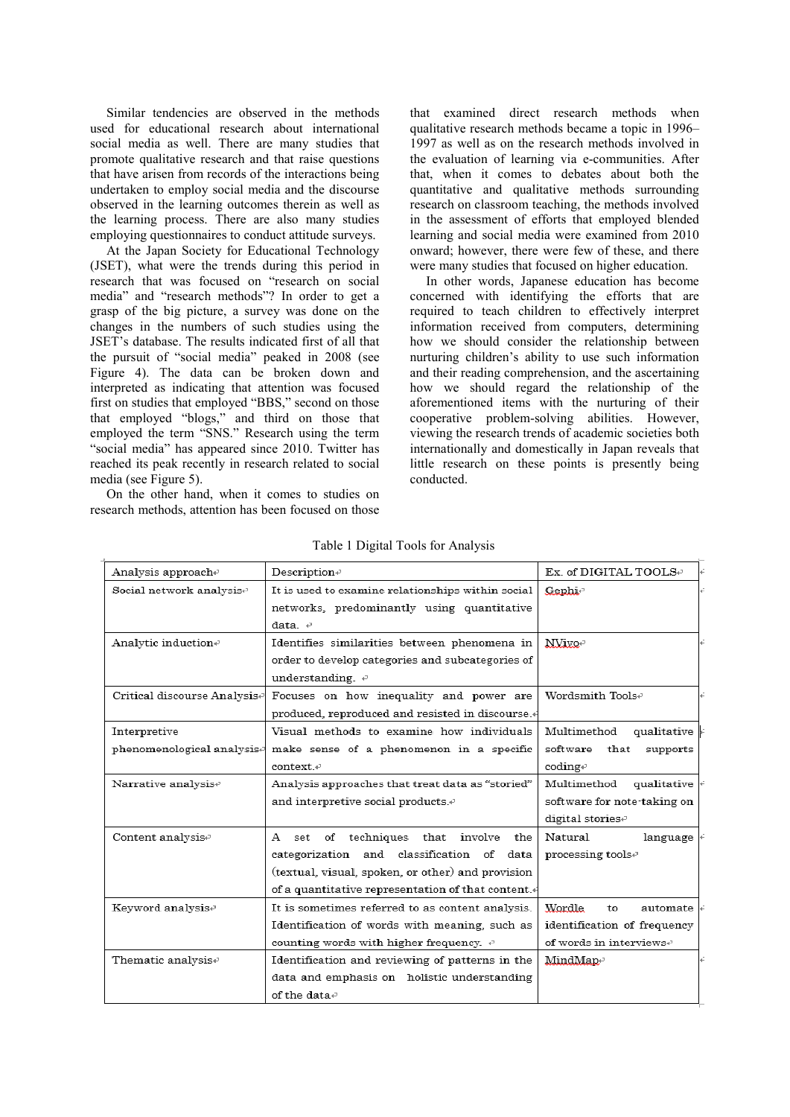Similar tendencies are observed in the methods used for educational research about international social media as well. There are many studies that promote qualitative research and that raise questions that have arisen from records of the interactions being undertaken to employ social media and the discourse observed in the learning outcomes therein as well as the learning process. There are also many studies employing questionnaires to conduct attitude surveys.

At the Japan Society for Educational Technology (JSET), what were the trends during this period in research that was focused on "research on social media" and "research methods"? In order to get a grasp of the big picture, a survey was done on the changes in the numbers of such studies using the JSET's database. The results indicated first of all that the pursuit of "social media" peaked in 2008 (see Figure 4). The data can be broken down and interpreted as indicating that attention was focused first on studies that employed "BBS," second on those that employed "blogs," and third on those that employed the term "SNS." Research using the term "social media" has appeared since 2010. Twitter has reached its peak recently in research related to social media (see Figure 5).

On the other hand, when it comes to studies on research methods, attention has been focused on those that examined direct research methods when qualitative research methods became a topic in 1996– 1997 as well as on the research methods involved in the evaluation of learning via e-communities. After that, when it comes to debates about both the quantitative and qualitative methods surrounding research on classroom teaching, the methods involved in the assessment of efforts that employed blended learning and social media were examined from 2010 onward; however, there were few of these, and there were many studies that focused on higher education.

In other words, Japanese education has become concerned with identifying the efforts that are required to teach children to effectively interpret information received from computers, determining how we should consider the relationship between nurturing children's ability to use such information and their reading comprehension, and the ascertaining how we should regard the relationship of the aforementioned items with the nurturing of their cooperative problem-solving abilities. However, viewing the research trends of academic societies both internationally and domestically in Japan reveals that little research on these points is presently being conducted.

| Analysis approache                     | Description+                                       | Ex. of DIGITAL TOOLS+               |  |
|----------------------------------------|----------------------------------------------------|-------------------------------------|--|
| Social network analysis <sup>®</sup>   | It is used to examine relationships within social  | Gephie                              |  |
|                                        | networks, predominantly using quantitative         |                                     |  |
|                                        | $data \in$                                         |                                     |  |
| Analytic induction+                    | Identifies similarities between phenomena in       | NVivo-                              |  |
|                                        | order to develop categories and subcategories of   |                                     |  |
|                                        | understanding. $\psi$                              |                                     |  |
| Critical discourse Analysise           | Focuses on how inequality and power are            | Wordsmith Toolse                    |  |
|                                        | produced, reproduced and resisted in discourse.4   |                                     |  |
| Interpretive                           | Visual methods to examine how individuals          | Multimethod<br>qualitative          |  |
| phenomenological analysis <sup>2</sup> | make sense of a phenomenon in a specific           | software that<br>supports           |  |
|                                        | context. <sup>2</sup>                              | coding                              |  |
| Narrative analysis <sup>®</sup>        | Analysis approaches that treat data as "storied"   | Multimethod<br>qualitative          |  |
|                                        | and interpretive social products. $\cdot$          | software for note-taking on         |  |
|                                        |                                                    | digital stories <sup>®</sup>        |  |
| Content analysis <sup>e</sup>          | A set of techniques that involve<br>the            | Natural<br>language                 |  |
|                                        | categorization and classification of data          | processing toolse                   |  |
|                                        | (textual, visual, spoken, or other) and provision  |                                     |  |
|                                        | of a quantitative representation of that content.4 |                                     |  |
| Keyword analysise                      | It is sometimes referred to as content analysis.   | Wordle<br>automate<br>to            |  |
|                                        | Identification of words with meaning, such as      | identification of frequency         |  |
|                                        | counting words with higher frequency. $\psi$       | of words in interviews <sup>p</sup> |  |
| Thematic analysis+                     | Identification and reviewing of patterns in the    | MindMape                            |  |
|                                        | data and emphasis on holistic understanding        |                                     |  |
|                                        | of the data $\psi$                                 |                                     |  |

Table 1 Digital Tools for Analysis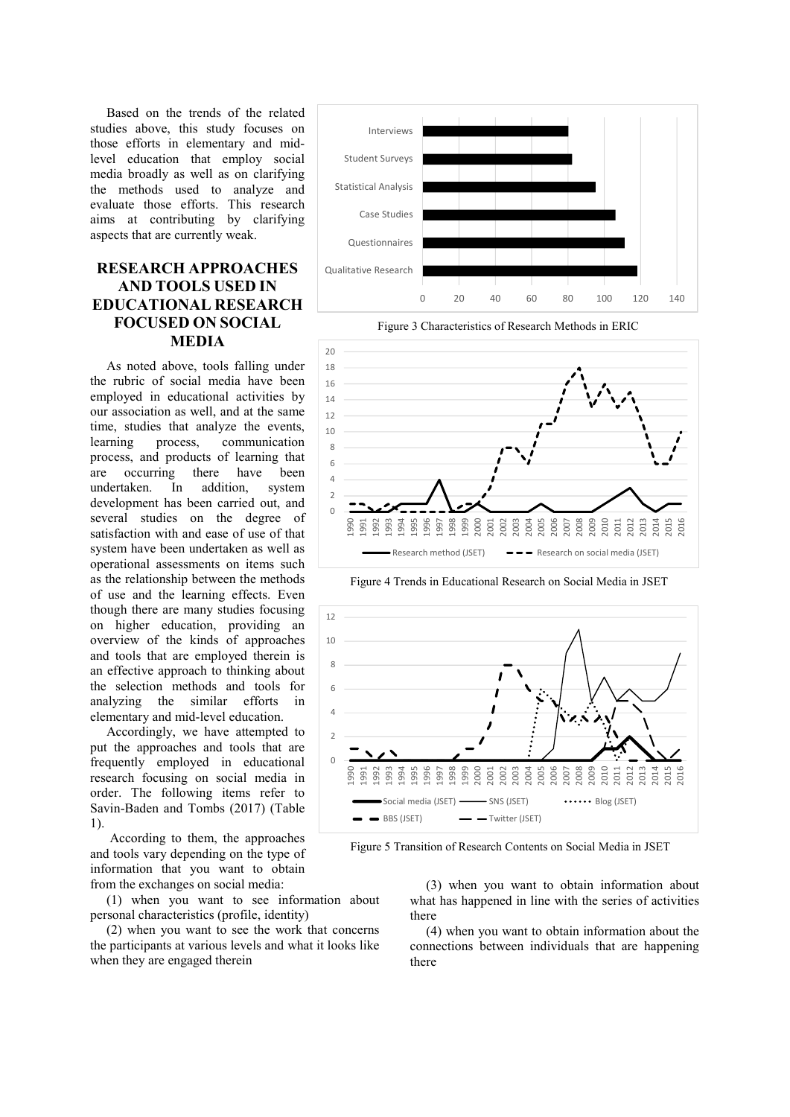Based on the trends of the related studies above, this study focuses on those efforts in elementary and midlevel education that employ social media broadly as well as on clarifying the methods used to analyze and evaluate those efforts. This research aims at contributing by clarifying aspects that are currently weak.

## **RESEARCH APPROACHES AND TOOLS USED IN EDUCATIONAL RESEARCH FOCUSED ON SOCIAL MEDIA**

As noted above, tools falling under the rubric of social media have been employed in educational activities by our association as well, and at the same time, studies that analyze the events, learning process, communication process, and products of learning that are occurring there have been undertaken. In addition, system development has been carried out, and several studies on the degree of satisfaction with and ease of use of that system have been undertaken as well as operational assessments on items such as the relationship between the methods of use and the learning effects. Even though there are many studies focusing on higher education, providing an overview of the kinds of approaches and tools that are employed therein is an effective approach to thinking about the selection methods and tools for analyzing the similar efforts in elementary and mid-level education.

Accordingly, we have attempted to put the approaches and tools that are frequently employed in educational research focusing on social media in order. The following items refer to Savin-Baden and Tombs (2017) (Table 1).

 According to them, the approaches and tools vary depending on the type of information that you want to obtain from the exchanges on social media:

(1) when you want to see information about personal characteristics (profile, identity)

(2) when you want to see the work that concerns the participants at various levels and what it looks like when they are engaged therein



Figure 3 Characteristics of Research Methods in ERIC



Figure 4 Trends in Educational Research on Social Media in JSET



Figure 5 Transition of Research Contents on Social Media in JSET

(3) when you want to obtain information about what has happened in line with the series of activities there

(4) when you want to obtain information about the connections between individuals that are happening there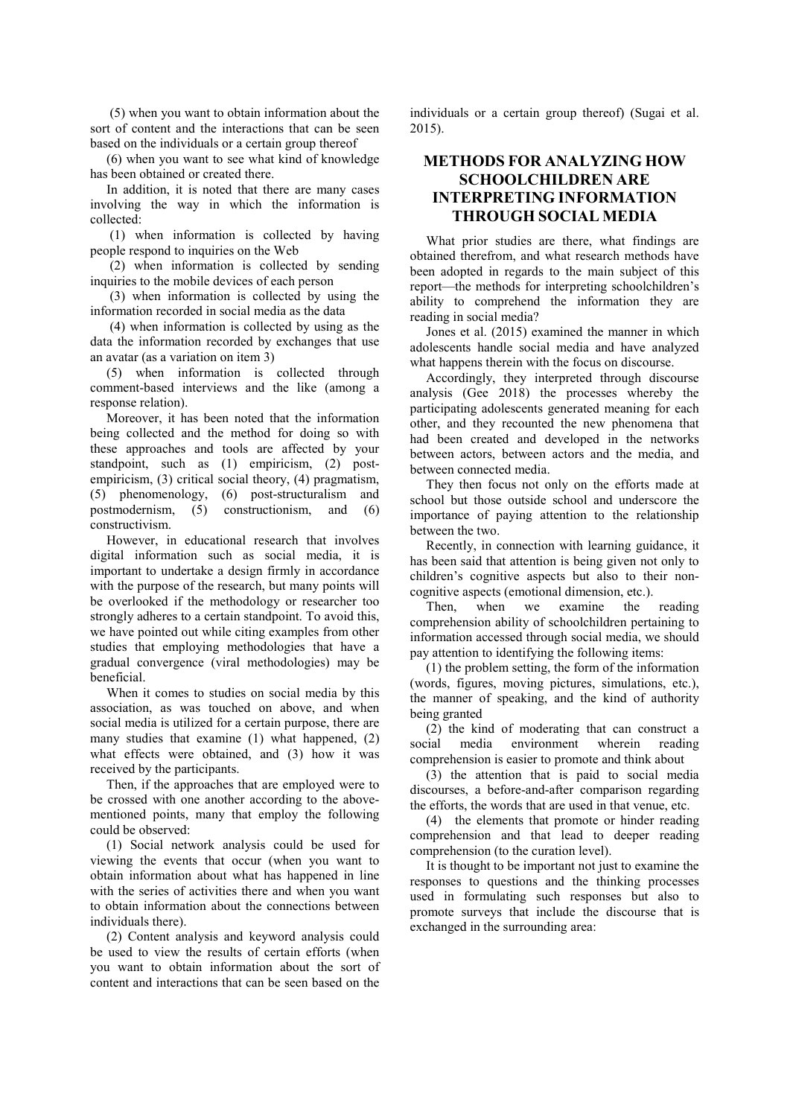(5) when you want to obtain information about the sort of content and the interactions that can be seen based on the individuals or a certain group thereof

(6) when you want to see what kind of knowledge has been obtained or created there.

In addition, it is noted that there are many cases involving the way in which the information is collected:

 (1) when information is collected by having people respond to inquiries on the Web

 (2) when information is collected by sending inquiries to the mobile devices of each person

 (3) when information is collected by using the information recorded in social media as the data

 (4) when information is collected by using as the data the information recorded by exchanges that use an avatar (as a variation on item 3)

(5) when information is collected through comment-based interviews and the like (among a response relation).

Moreover, it has been noted that the information being collected and the method for doing so with these approaches and tools are affected by your standpoint, such as (1) empiricism, (2) postempiricism, (3) critical social theory, (4) pragmatism, (5) phenomenology, (6) post-structuralism and postmodernism, (5) constructionism, and (6) constructivism.

However, in educational research that involves digital information such as social media, it is important to undertake a design firmly in accordance with the purpose of the research, but many points will be overlooked if the methodology or researcher too strongly adheres to a certain standpoint. To avoid this, we have pointed out while citing examples from other studies that employing methodologies that have a gradual convergence (viral methodologies) may be beneficial.

When it comes to studies on social media by this association, as was touched on above, and when social media is utilized for a certain purpose, there are many studies that examine (1) what happened, (2) what effects were obtained, and (3) how it was received by the participants.

Then, if the approaches that are employed were to be crossed with one another according to the abovementioned points, many that employ the following could be observed:

(1) Social network analysis could be used for viewing the events that occur (when you want to obtain information about what has happened in line with the series of activities there and when you want to obtain information about the connections between individuals there).

(2) Content analysis and keyword analysis could be used to view the results of certain efforts (when you want to obtain information about the sort of content and interactions that can be seen based on the

individuals or a certain group thereof) (Sugai et al. 2015).

## **METHODS FOR ANALYZING HOW SCHOOLCHILDREN ARE INTERPRETING INFORMATION THROUGH SOCIAL MEDIA**

What prior studies are there, what findings are obtained therefrom, and what research methods have been adopted in regards to the main subject of this report—the methods for interpreting schoolchildren's ability to comprehend the information they are reading in social media?

Jones et al. (2015) examined the manner in which adolescents handle social media and have analyzed what happens therein with the focus on discourse.

Accordingly, they interpreted through discourse analysis (Gee 2018) the processes whereby the participating adolescents generated meaning for each other, and they recounted the new phenomena that had been created and developed in the networks between actors, between actors and the media, and between connected media.

They then focus not only on the efforts made at school but those outside school and underscore the importance of paying attention to the relationship between the two.

Recently, in connection with learning guidance, it has been said that attention is being given not only to children's cognitive aspects but also to their noncognitive aspects (emotional dimension, etc.).

Then, when we examine the reading comprehension ability of schoolchildren pertaining to information accessed through social media, we should pay attention to identifying the following items:

(1) the problem setting, the form of the information (words, figures, moving pictures, simulations, etc.), the manner of speaking, and the kind of authority being granted

(2) the kind of moderating that can construct a social media environment wherein reading comprehension is easier to promote and think about

(3) the attention that is paid to social media discourses, a before-and-after comparison regarding the efforts, the words that are used in that venue, etc.

(4) the elements that promote or hinder reading comprehension and that lead to deeper reading comprehension (to the curation level).

It is thought to be important not just to examine the responses to questions and the thinking processes used in formulating such responses but also to promote surveys that include the discourse that is exchanged in the surrounding area: